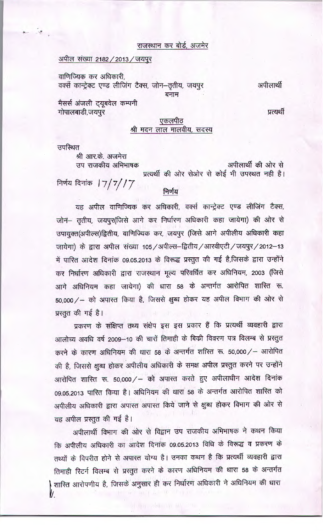## राजस्थान कर बोर्ड, अजमेर

#### <u>अपील संख्या 2182 / 2013 / जयपुर</u>

वाणिज्यिक कर अधिकारी. वर्क्से कान्ट्रेक्ट एण्ड लीजिंग टैक्स, जोन-तृतीय, जयपुर बनाम

अपीलार्थी

प्रत्यर्थी

# मैसर्स अंजली ट्यूबवेल कम्पनी गोपालबाडी,जयपुर

## एकलपीठ श्री मदन लाल मालवीय, सदस्य

उपस्थित

श्री आर.के. अजमेरा उप राजकीय अभिभाषक

अपीलार्थी की ओर से प्रत्यर्थी की ओर सेओर से कोई भी उपस्थत नही है। निर्णय दिनांक ।  $7/7/7$ 

### निर्णय

यह अपील वाणिज्यिक कर अधिकारी, वर्क्स कान्ट्रेक्ट एण्ड लीजिंग टैक्स, जोन- तृतीय, जयपूर(जिसे आगे कर निर्धारण अधिकारी कहा जायेगा) की ओर से उपायुक्त(अपील्स)द्वितीय, वाणिज्यिक कर, जयपुर (जिसे आगे अपीलीय अधिकारी कहा जायेगा) के द्वारा अपील संख्या 105 / अपील्स-द्वितीय / आरवीएटी / जयपुर / 2012-13 में पारित आदेश दिनांक 09.05.2013 के विरूद्ध प्रस्तुत की गई है,जिसके द्वारा उन्होंने कर निर्धारण अधिकारी द्वारा राजस्थान मूल्य परिवर्धित कर अधिनियम, 2003 (जिसे आगे अधिनियम कहा जायेगा) की धारा 58 के अन्तर्गत आरोपित शास्ति रू. 50,000/ - को अपास्त किया है, जिससे क्षुब्ध होकर यह अपील विभाग की ओर से प्रस्तुत की गई है।

प्रकरण के संक्षिप्त तथ्य संक्षेप इस इस प्रकार हैं कि प्रत्यर्थी व्यवहारी द्वारा आलोच्य अवधि वर्ष 2009–10 की चारों तिमाही के बिक्री विवरण पत्र विलम्ब से प्रस्तुत करने के कारण अधिनियम की धारा 58 के अन्तर्गत शरित रू. 50,000/– आरोपित की है, जिससे क्षुब्ध होकर अपीलीय अधिकारी के समक्ष अपील प्रस्तुत करने पर उन्होंने आरोपित शास्ति रू. 50,000/ - को अपास्त करते हुए अपीलाधीन आदेश दिनांक 09.05.2013 पारित किया है। अधिनियम की धारा 58 के अन्तर्गत आरोपित शास्ति को अपीलीय अधिकारी द्वारा अपास्त अपास्त किये जाने से क्षुब्ध होकर विभाग की ओर से यह अपील प्रस्तुत की गई है।

अपीलार्थी विभाग की ओर से विद्वान उप राजकीय अभिभाषक ने कथन किया कि अपीलीय अधिकारी का आदेश दिनांक 09.05.2013 विधि के विरूद्ध व प्रकरण के तथ्यों के विपरीत होने से अपास्त योग्य है। उनका कथन है कि प्रत्यर्थी व्यवहारी द्वारा तिमाही रिटर्न विलम्ब से प्रस्तुत करने के कारण अधिनियम की धारा 58 के अन्तर्गत शास्ति आरोपणीय है, जिसके अनुसार ही कर निर्धारण अधिकारी ने अधिनियम की धारा V.